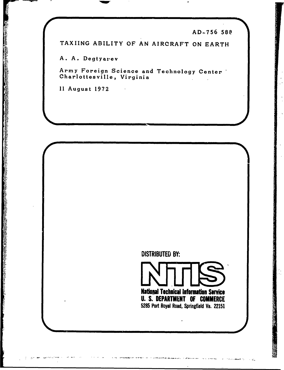**AD-756 588**

**TAXIING** ABILITY **OF AN** AIRCRAFT **ON** EARTH

**A. A.** Degtyarev

CARRIOTHER CHARGES

CANNON CONTROLLER

「大きなのから、そのことをすることをすることをすることをすることにしているのです。

Army Foreign Science and Technology Center Charlottesville, Virginia

**<sup>11</sup>**August **1972**



**National Technical information Service U. S. DEPARTMENT OF COMMERCE 5285** Port Royal Road, Springfield Va. **22151**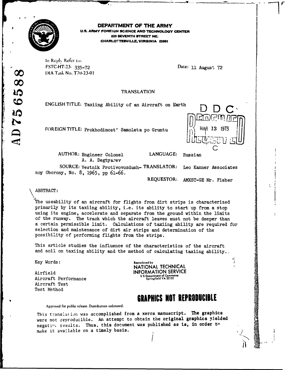

## **RDEPARTMENT OF THE ARMY**

**U.S. ARMY FOREIGN SCIENCE AND TECHNOLOGY CENTER 220 SEVENTH STREET NE. CHARLO VILLE, VIRGINIA 2Z101**

Ill Replp Refer **to:** FSTC-HT-23- 335-72 Date: **11** August 72 I)IA Task No. T7t0-23-01

# **TRANSLATION**

ENGLISH TITLE: Taxiing Ability of an Aircraft on Earth

**FOREIGN TITLE: Prokhodimost' Samoleta po Gruntu 1j MAR 13 1973** 

AUTHOR: Engineer Colonel LANGUAGE: Russian A. A. Degtyarev

**SOURCE:** Vestnik Protivovozdush- TRANSLATOR: Leo Kanner Associates

**R** 

noy Oborony, No. 8, 1965, pp 61-66.

REQUESTOR: AMXST-GE Mr. Fisher

ABSTRACT:

The useability of an aircraft for flights from dirt strips is characterized primarily by its taxiing ability, i.e. its ability to start up from a stop using its engine, accelerate and separate from the ground within the limits of the runway. The track which the aircraft leaves must not be deeper than a certain permissible limit. Calculations of taxiing ability are required for selection and maintenance of dirt air strips and determination of the possibility of performing flights from the strips.

This article studies the influence of the characteristics of the aircraft and soil on taxiing ability and the method of calculating taxiing ability.,

Key Words : **Reproduced by**

**U S Deportment of Commerce** Aircraft Performance **Springfield VA <sup>22151</sup>** Aircraft Test Test Method

**NATIONAL TECHNICAL** Airfield<br> **INFORMATION SERVICE**<br>
IS Department of Commerce<br>
IS Department of Commerce<br>
IS Department of Commerce<br>
IS Department of Commerce

# **GRAPHICS NOT REPRODUCIBLE**

Approved for pubhc release. Distribution unlimited.

This translation was accomplished from a xerox manuscript. The graphics were not reproducible. An attempt to obtain the original graphics yielded negative results. Thus, this document was published as is, in order to make it available on a timely basis.

Œ 658 **LO** AD7.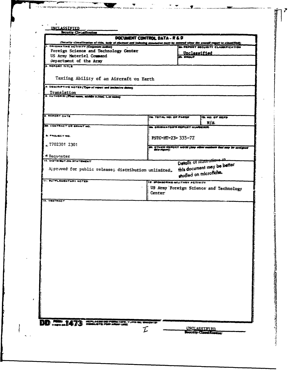| Security Closeffication                                                                   | DOCUMENT CONTROL DATA - R & D |                                                                                                                                                                                 |                                                                                             |  |  |  |
|-------------------------------------------------------------------------------------------|-------------------------------|---------------------------------------------------------------------------------------------------------------------------------------------------------------------------------|---------------------------------------------------------------------------------------------|--|--|--|
| 4. ONIGINATING ACTIVITY (Corporate outhor)                                                |                               | (Security classification of title, body of sheltest and indexing annotation must be entered with the overall report in clossified);<br><b>SE REPORT SECURITY CLASSIFICATION</b> |                                                                                             |  |  |  |
| Foreign Science and Technology Center<br>US Army Materiel Command                         |                               | Unclassified<br><b>SG. SHOUP</b>                                                                                                                                                |                                                                                             |  |  |  |
| Department of the Army                                                                    |                               |                                                                                                                                                                                 |                                                                                             |  |  |  |
| <b>3. REPORT TITLE</b>                                                                    |                               |                                                                                                                                                                                 |                                                                                             |  |  |  |
| Taxiing Ability of an Aircraft on Earth                                                   |                               |                                                                                                                                                                                 |                                                                                             |  |  |  |
| 4. DESCRIPTIVE NOTES (Type of report and inclusive dates)                                 |                               |                                                                                                                                                                                 |                                                                                             |  |  |  |
| Translation<br>s. AUTHORISI (Piret name, middle ir.itial; Lux name)                       |                               |                                                                                                                                                                                 |                                                                                             |  |  |  |
|                                                                                           |                               |                                                                                                                                                                                 |                                                                                             |  |  |  |
|                                                                                           |                               |                                                                                                                                                                                 |                                                                                             |  |  |  |
| <b>E. REPORT DATE</b>                                                                     |                               | THE TOTAL NO. OF FARSE                                                                                                                                                          | <b>750 HOL OF REFS.</b>                                                                     |  |  |  |
| <b>BE CONTRACT OR GRANT NO.</b>                                                           |                               | IN ORIGINATOR'S REPORT NUMBERON                                                                                                                                                 | N/A                                                                                         |  |  |  |
| <b>&amp; PROJECT NO.</b>                                                                  |                               |                                                                                                                                                                                 |                                                                                             |  |  |  |
|                                                                                           |                               | ESTC-HT-23-335-72                                                                                                                                                               |                                                                                             |  |  |  |
| £T702301 2301                                                                             |                               |                                                                                                                                                                                 | )<br>- Alexandria http://www.youth.com/within-analysis-that.com/bi-analysis<br>- Alexandria |  |  |  |
| <b>d: Requester</b>                                                                       |                               |                                                                                                                                                                                 |                                                                                             |  |  |  |
| 10. DISTRIBUTION STATEMENT                                                                |                               |                                                                                                                                                                                 | Details of Illustrations in                                                                 |  |  |  |
| Approved for public release; distribution unlimited.                                      |                               |                                                                                                                                                                                 | this document may be better                                                                 |  |  |  |
|                                                                                           |                               |                                                                                                                                                                                 | studied on microfiche.                                                                      |  |  |  |
| <b>11. SUPPLEMENTARY NOTES:</b>                                                           |                               | IZ SPONSORING MILITARY ACTIVITY<br>US Army Foreign Science and Technology                                                                                                       |                                                                                             |  |  |  |
|                                                                                           |                               |                                                                                                                                                                                 |                                                                                             |  |  |  |
|                                                                                           | Center                        |                                                                                                                                                                                 |                                                                                             |  |  |  |
| <b>13. ABSTRACT</b>                                                                       |                               |                                                                                                                                                                                 |                                                                                             |  |  |  |
|                                                                                           |                               |                                                                                                                                                                                 |                                                                                             |  |  |  |
|                                                                                           |                               |                                                                                                                                                                                 |                                                                                             |  |  |  |
|                                                                                           |                               |                                                                                                                                                                                 |                                                                                             |  |  |  |
|                                                                                           |                               |                                                                                                                                                                                 |                                                                                             |  |  |  |
|                                                                                           |                               |                                                                                                                                                                                 |                                                                                             |  |  |  |
|                                                                                           |                               |                                                                                                                                                                                 |                                                                                             |  |  |  |
|                                                                                           |                               |                                                                                                                                                                                 |                                                                                             |  |  |  |
|                                                                                           |                               |                                                                                                                                                                                 |                                                                                             |  |  |  |
|                                                                                           |                               |                                                                                                                                                                                 |                                                                                             |  |  |  |
|                                                                                           |                               |                                                                                                                                                                                 |                                                                                             |  |  |  |
|                                                                                           |                               |                                                                                                                                                                                 |                                                                                             |  |  |  |
|                                                                                           |                               |                                                                                                                                                                                 |                                                                                             |  |  |  |
|                                                                                           |                               |                                                                                                                                                                                 |                                                                                             |  |  |  |
|                                                                                           |                               |                                                                                                                                                                                 |                                                                                             |  |  |  |
|                                                                                           |                               |                                                                                                                                                                                 |                                                                                             |  |  |  |
|                                                                                           |                               |                                                                                                                                                                                 |                                                                                             |  |  |  |
| <b>DD 1473</b><br>MEPLACING DID PORTAILSTS) 113A3160) WHICH IST<br>GENELETE PORTAINAV USE | ${\mathcal{I}}$               |                                                                                                                                                                                 | UNCLASSIFIED                                                                                |  |  |  |

ľ

į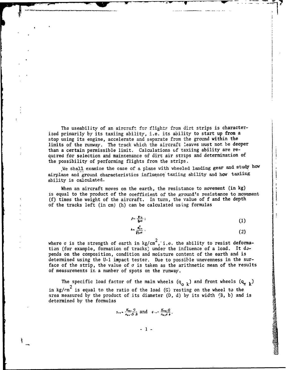The useability of an aircraft for flights from dirt strips is characterized primarily by its taxiing ability, i.e. its ability to start up from a stop using its engine, accelerate and separate from the ground within the limits of the runway. The track which the aircraft leaves must not be deeper than a certain permissible limit. Calculations of taxiing ability are required for selection and maintenance of dirt air strips and determination of the possibility of performing flights from the strips.

We shall examine the case of a plane with wheeled landing gear and study how airplane and ground characteristics influence' taxiing ability and how taxiing ability is calculated.

When an aircraft moves on the earth, the resistance to movement (in **kg)** is equal to the product of the coefficient of the ground's resistance to movement (f) times the weight of the aircraft. In turn, the value of f and the depth of the tracks left (in cm) (h) can be calculated using formulas

$$
f \sim \frac{q_{r\rho}}{8\mu\sigma} \tag{1}
$$

$$
\frac{\phi_{0\,\nu}^2}{\xi^2\mu\sigma^2} \tag{2}
$$

**La**<br>La propieta de la propieta de la propieta de la propieta de la propieta de la propieta de la propieta de la p

**PARTIC COMMUNICATIONS COMMUNICATION** 

where  $\sigma$  is the strength of earth in kg/cm<sup>2</sup>, i.e. the ability to resist deformation (for example, formation of tracks' under the influence of a load. It **da**pends on the composition, condition and moisture content of the earth and is determined using the **U-1** impact tester. Due to possible unevenness in the surface of the strip, the value of **a** is taken as the arithmetic mean of the results of measurements in a number of spots on the runway.

The specific load factor of the main wheels  $(q_{0 k})$  and front wheels  $(q_{\pi k})$ in kg/rm<sup>2</sup> is equal to the ratio of the load (G) resting on the wheel to the area measured by the product of its diameter (D, d) by its width (B, b) and is determined **by** the formulas

 $\tau_{\text{max}} \sim \frac{K_{\text{max}} Q}{n_{\text{max}} Q B}$  and  $\theta_{\text{max}} \sim \frac{K_{\text{max}} Q}{n_{\text{max}} Q B}$ .

 $-1-$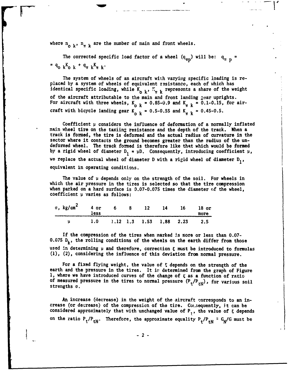where  $n_{0 k}$ ,  $n_{\pi k}$  are the number of main and front wheels.

The corrected specific load factor of a wheel  $(q_{\pi D})$  will be:  $q_{\pi D}$  =  $= q_0 k_0 k + q_{\pi k} k_{\pi k}$ 

The system of wheels of an aircraft with varying specific loading is replaced by a system of wheels of equivalent resistance, each of which has identical specific loading, while  $K_{\alpha k}$ ,  $K_{\pi k}$  represents a share of the weight of the aircraft attributable to the main and front landing  $2e$ ar uprights.<br>For aircraft with three wheels, K<sub>o k</sub> = 0.85-0.9 and K<sub>π k</sub> = 0.1-0.15, for aircraft with bicycle landing gear  $K_{\text{o k}} = 0.5-0.55$  and  $K_{\pi k} = 0.45-0.5$ .

Coefficient **p** considers the influence of deformation of a normally inflated main wheel tire on the taxiing resistance and the depth of the track. When a track is formed, the tire is deformed and the actual radius of curvature in the sector where it contacts the ground becomes greater than the radius of the undeformed wheel. The track formed is therefore like that which would **be** formed by a rigid wheel of diameter  $D_1 = \mu D$ . Consequently, introducing coefficient  $\mu$ , we replace the actual wheel of diameter **D** with a rigid wheel of diameter  $D_1$ , equivalent in operating conditions.

The value of  $\mu$  depends only on the strength of the soil. For wheels in which the air pressure in the tires is selected so that the tire compression when parked on a hard surface is **0.07-0.075** times the diameter of the wheel, coefficient **p** varies as follows:

| $\sigma$ , kg/cm <sup>2</sup> | 4 or<br>less |  | $6 \qquad 8 \qquad 12$ | $\frac{14}{2}$ | 16                                            | $18$ or<br>more |
|-------------------------------|--------------|--|------------------------|----------------|-----------------------------------------------|-----------------|
|                               |              |  |                        |                | $1.0$ $1.12$ $1.3$ $1.53$ $1.88$ $2.23$ $2.5$ |                 |

If the compression of the tires when marked is more or less than 0.07-0.075  $D_k$ , the rolling conditions of the wheels on the earth differ from those used in determining **v** and therefore, correction **E** must be introduced to formulas **(1),** (2), considering the influence of this deviation from normal pressure.

For **a** fixed flying weight, the value of **r** depends on the strength of the earth and the pressure in the tires. It is determined from the graph of Figure 1, where we have introduced curves of the change of  $\xi$  as a function of ratio of measured pressure in the tires to normal pressure  $(P_t/P_{rN})$ , for various soil strengths **a.**

**An** increase (decrease) in the weight of the aircraft corresponds to an increase (or decrease) of the compression of the tire. Consequently, it can be considered approximately that with unchanged value of  $P_1$ , the value of  $\xi$  depends on the ratio  $P_t/P_{tN}$ . Therefore, the approximate equality  $P_t/P_{tN} = G_N/G$  must be

**-2-**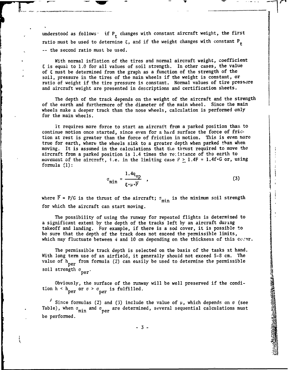understood as follows if  $P_t$  changes with constant aircraft weight, the first ratio must be used to determine  $\xi$ , and if the weight changes with constant  $P_+$ **--** the second ratio must be used.

**i- .v** -. .- **-** - **"f**

With normal inflation of the tires and normal aircraft weight, coefficient is equal to **1.0** for all values of soil strength. In other cases, the value of **&** must be determined from the graph as a function of the strength of the soil, pressure in the tires of the main wheels if the weight is constant, or ratio of weight if the tire pressure is constant. Normal values of tire pressure and aircraft weight are presented in descriptions and certification sheets.

The depth of the track depends on the weight of the aircraft and the strength of the earth and furthermore of the diameter of the main wheel. Since the main wheels make a deeper track than the nose wheels, calculation is performed only for the main wheels.

it requires more force to start an aircraft from a parked position than to continue motion once started, since even for a hard surface the force of friction at rest is greater than the force of friction in motion. This is even more true for earth, where the wheels sink to a greater depth when parked than when moving. It is assumed in the calculations that the thrust required to move the aircraft from a parked position is 1.4 times the re:istance of the earth to movement of the aircraft, i.e. in the limiting case P **>** 1.4F *=* **1.4f.G** or, using formula (1):

$$
\sigma_{\min} = \frac{1.4q_{\pi p}}{\xi \cdot \mu \cdot \overline{P}} \quad , \tag{3}
$$

where  $\overline{P}$  = P/G is the thrust of the aircraft;  $\sigma_{\min}$  is the minimum soil strength for which the aircraft can start moving.

The possibility of using the runway for repeated flights is determined to a significant extent by the depth of the tracks left by an aircraft during takeoff and landing. For example, if there is a sod cover, it is possible to be sure that the depth of the track does not exceed the permissible limits, which may fluctuate between 4 and 10 cm depending on the thickness of this  $cc:rr$ .

The permissible track depth is selected on the basis of the tasks at hand. With long term use of an airfield, it generally should not exceed 5-8 cm. The value of  $h_{\text{per}}$  from formula (2) can easily be used to determine the permissible soil strength  $\sigma_{\text{per}}$ .

Obviously, the surface of the runway will be well preserved if the condition  $h < h_{per}$  or  $\sigma > \sigma_{per}$  is fulfilled.

 $\frac{3}{2}$  Since formulas (2) and (3) include the value of  $\mu$ , which depends on  $\sigma$  (see Table), when  $\sigma_{\min}$  and  $\sigma_{\text{per}}$  are determined, several sequential calculations must be performed.

**-3- C**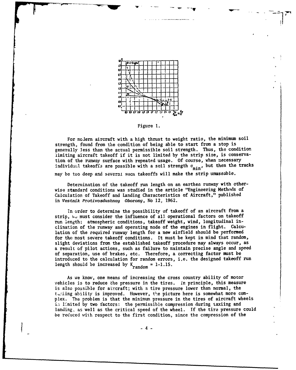

Figure **1.**

For moJern aircraft with a high thrust to weight ratio, the minimum soil strength, found from the condition of being able to start from a stop is generally less than the actual permissible soil strength. Thus, the condition limiting aircraft takeoff if it is not limited by the strip size, is conservation of the runway surface with repeated usage. **Of** course, when necessary individual takeoffs are possible with a soil strength  $\sigma_{\min}$ , but then the tracks

Determination of the takeoff run length on an earthen runway with otherwise standard conditions was studied in the article "Engineering Methods of Calculation of Takeoff and Landing Characteristics of Aircraft," published in Vestnik Protivozdushnoy Oborony, No 12, **1962.**

In order to determine the possibility of takeoff of an aircraft from a strip,  $w_{ij}$  must consider the influence of all operational factors on takeoff run length: atmospheric conditions, takeoff weight, wind, longitudinal inlation of the required runway length for a new airfield should be performed for the most severe takeoff conditions. It must be kept in mind that random, slight deviations from the established takeoff procedure may always occur, as a result of pilot actions, such as failure to maintain precise angle and speed of separation, use of brakes, etc. Therefore, a correcting factor must be introduced to the calculation for random errors, i.e. the designed takeoff run length should be increased by  $K_{random} = 1-1.15$ .

As we know, one means of increasing the cross country ability of motor vehicles is to reduce the pressure in the tires. in principle, this measure is also possible for atveraft; with a tire pressure lower than normal, the tating ability is improved. However, the picture here is somewhat more complex. The problem is that the minimum pressure in the tires of aircraft wheels **i..** Emited by two factors: the permissible compression during taxiing and landing, as well as the critical speed of the wheel. If the tire pressure could be reduced wilh respect to the first condition, since the compression of the

-4-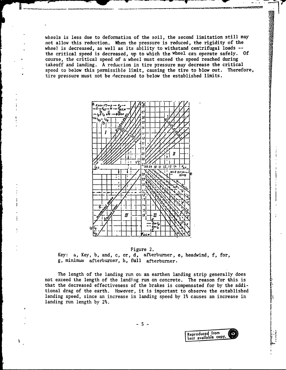wheels is less due to deformation of the soil, the second limitation still may not allow this reduction. When the pressure is reduced, the rigidity of the whee! is decreased, as well as its ability to withstand centrifugal loads -the critical speed is decreased, up to which the wheel can operate safely. Of course, the critical speed of a wheel must exceed the speed reached during takeoff and landing. A reduction in tire pressure may decrease the critical speed to below this permissible limit, causing the tire to blow out. Therefore, tire pressure must not be decreased to below the established limits.



#### Figure 2.

Key: a, Key, b, and, c, or, d, afterburner, e, headwind, f, for, g, minimum afterburner, h, full afterburner.

The length of the landing run on an earthen landing strip generally does not exceed the length of the landing run on concrete. The reason for this is that the decreased effectiveness of the brakes is compensated for by the additional drag of the earth. However, it is important to observe the established landing speed, since an increase in landing speed by 1% causes an increase in landing run length by 2%.

 $-5 -$ 

à,

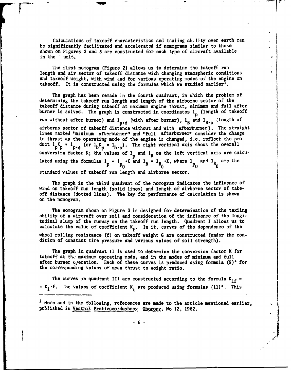Calculations of takeoff characteristics and taxiing ability over earth can be significantly facilitated and accelerated if nomograms similar to those shown on Figures 2 and **3** are constructed for each type of aircraft available in the **-** unit.

The first nomogram (Figure 2) allows us to determine the takeoff run length and air sector of takeoff distance with changing atmospheric conditions and takeoff weight, with wind and for various operating modes~oi the engine on takeoff. It is constructed using the formulas which we studied earlier<sup>1</sup>.

The graph has been remade in the fourth quadrant, in which the problem of determining the takeoff run length and length of the airborne sector of the takeoff distance during takeoff at maximum engine thrust, minimum and full after burner is solved. The graph is constructed in coordinates 1<sub>p</sub> (length of takeoff run without after burner) and  $l_{p \cdot \phi}$  (with after burner),  $l_B$  and  $l_{B \cdot \phi}$  (length of airborne sector of takeoff distance without and with afterburner). The straight lines marked "minimum afterburner" and "full afterburner" consider the change in thrust as the operating mode of the engine is changed, i.e. reflect the product  $1_K = 1$ , (or  $1_K = 1$ ,). The right vertical axis shows the overall conversion factor K; the values of  $I_p$  and  $I_B$  on the left vertical axis are calculated using the formulas  $1_p = 1_p \cdot K$  and  $1_B = 1_{B_0} \cdot K$ , where  $1_p$  and  $1_{B_0}$  are the standard values of takeoff run length and airborne sector.

The graph in the third quadrant of the nomogram indicates the influence of wind on takeoff run length (solid lines) and length of airborne sector of takeoff distance (dotted lines). The key for performance of calculation is shown **on the nomogram.**

The nomogram shown on Figure 3 is designed for determination of the taxiing ability of a aircraft over soil and consideration of the influence of the longitudinal slump of the runway on the takeoff run length. Quadrant **I** allows us to calculate the value of coefficient  $K_f$ . In it, curves of the dependence of the wheel rolling resistance **(f)** on takeoff weight **G** are constructed (under the condition of constant tire pressure and various values of soil strength).

The graph in quadrant II is used to determine the conversion factor K for takeoff at the maximum operating mode, and in the modes of minimum and full after burner  $\epsilon_k$  eration. Each of these curves is produced using formula (9)<sup>\*</sup> for the corresponding values of mean thrust to weight ratio.

The curves in quadrant III are constructed according to the formula  $K_{if} =$  $K_i \cdot f$ . The values of coefficient  $K_i$  are produced using formulas (11)\*. This

<sup>1</sup> Here and in the following, references are made to the article mentioned earlier, published in Vestnik Protivovozdushnoy Qborony, No 12, 1962.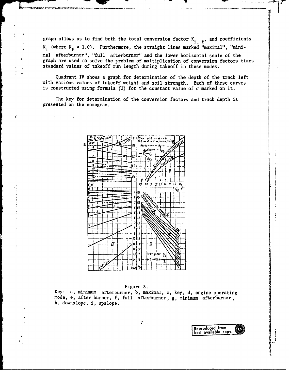graph allows us to find both the total conversion factor  $K_i$ ,  $f$ , and coefficients  $K_i$  (where  $K_f = 1.0$ ). Furthermore, the straight lines marked "maximal", "minimal afterburner", "full afterburner" and the lower horizontal scale of the graph are used to solve the problem of multiplication of conversion factors times standard values of takeoff run length during takeoff in these modes.

Quadrant IV shows a graph for determination of the depth of the track left with various values of takeoff weight and soil strength. Each of these curves is constructed using formula (2) for the constant value of  $\sigma$  marked on it.

The key for determination of the conversion factors and track depth is presented on the nomogram.

ß,



### Figure **3.**

Key: a, minimum afterburner, **b,** maximal, c, key, **d,** engine operating mode, e, after burner, **f,** full afterburner, **g,** minimum afterburner **,** h, downslope, i, upsiope.

Reproduced from<br>best available copy.

*7*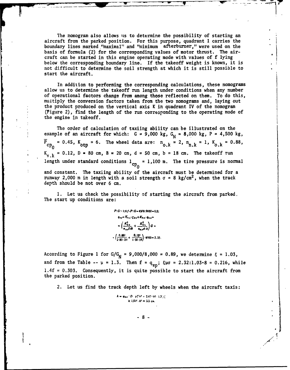1he nomogram also allows us to determine the possibility of starting an aircraft from the parked position. For this purpose, quadrant **1** carries the boundary lines marked "maximal" and "minimum afterburner," were used on the basis of formula (2) for the corresponding values of motor thrust. The aircraft can be started in this engine operating mode with values of **f** lying below the corresponding boundary line. If the takeoff weight is known, it is not difficult to determine the soil strength at which it is still possible to start the aircraft.

In addition to performing the corresponding calculations, these nomograms allow us to determine the takeoff run length under conditions when any number of operational factors change from among those reflected on them. To do this, multiply the conversion factors taken from the two nomograms and, laying out the product produced on the vertical axis K in quadrant IV of the nomogram (Figure 2), find the length of the run corresponding to the operating mode of the engine in takeoff.

The order of calculation of taxiing ability can be illustrated on the example of an aircraft for which:  $G = 9,000 \text{ kg}$ ,  $G_N = 8,000 \text{ kg}$ ,  $P = 4,500 \text{ kg}$ ,  $\overline{P}_{\text{CP}_0}$  = 0.45,  $K_{\text{otp}}$  = 6. The wheel data are:  $n_{o,k} = 2$ ,  $n_{n,k} = 1$ ,  $K_{o,k} = 0.88$ ,  $K_{\pi,k} = 0.12$ ,  $D = 80$  cm,  $B = 20$  cm,  $d = 50$  cm,  $b = 18$  cm. The takeoff run length under standard conditions  $l_{cp_0} = 1,100$  m. The tire pressure is normal and constant. The taxiing ability of the aircraft must be determined for a runway 2,000 m in length with a soil strength  $\sigma = 8$  kg/cm<sup>2</sup>, when the track depth should be not over 6 cm.

**1.** Let us check the possibility of starting the aircraft from parked, The start up conditions are:

$$
P(G) = 1/4 f \cdot P \cdot G = 4500; 9000 = 0.5;
$$
  
\n
$$
q_{np} = K_{0,n} \cdot q_{2,n} + K_{n,n} \cdot q_{n,n} =
$$
  
\n
$$
= \left(\frac{K_{n,n}^2}{n_{n,n} dB} + \frac{K_{n,n}^2}{n_{n,n} d \cdot \delta}\right) G =
$$
  
\n
$$
+ \left(\frac{0.86}{2.80 \cdot 20} + \frac{0.12^2}{1.50 \cdot 18}\right) \cdot 9000 = 2.32.
$$

According to Figure 1 for  $G/G_N = 9,000/8,000 = 0.89$ , we determine  $\xi = 1.03$ , and from the Table  $-\mu = 1.3$ . Then  $f = q_{\pi p}$ ;  $\xi \mu \sigma = 2.32:1.03 \cdot 8 = 0.216$ , while 1.4f **= 0.303.** Consequently, it is quite possible to start the aircraft from the parked position.

2. Let us find the track depth left **by** wheels when the aircraft taxis:

 $h = q_{0,k} \cdot D \cdot \mu_1^{*} \cdot n^2 + 2.47 \cdot 80 \cdot 1.3 \times$  $X$  *b*<sub>0</sub>*8*</sub> $\cdot$  *b*<sup>2</sup> = 5.5 cm.

**-8**

*Ile*